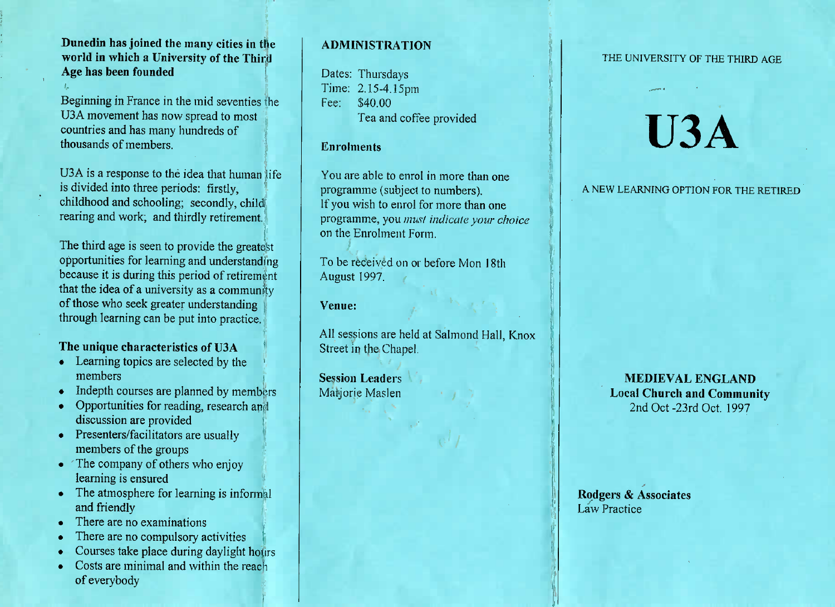### **Dunedin has joined the many cities in the world in which a University of the ThirdAge has been founded**

Beginning in France in the mid seventies the U3A movement has now spread to most U3A movement has now spread to mostcountries and has many hundreds ofthousands of members.

 $U$  $U$  is a response to the idea that human life is divided into three periods: firstly,childhood and schooling; secondly, child examing and schooling; secondly, child<br>rearing and work; and thirdly retirement.

The third age is seen to provide the greatest opportunities for learning and understanding because it is during this period of retirementthat the idea of a university as a communityof those who seek greater understandingthrough learning can be put into practice.

### **The unique characteristics of U3A**

- Learning topics are selected by the
- Indepth courses are planned by members
- Opportunities for reading, research and discussion are provided
- $\frac{1}{2}$  Presenters/facilitators are usually members of the groups
- $\frac{1}{2}$  ine company of others who enjoy
- Framing is ensured<br>The atmosphere for learning is informal
- and friendly There are no examinations
- Filtere are no compulsory activities
- Courses take place during daylight hours
- Costs are minimal and within the reachof everybody

#### **ADMINISTRATION**

Dates: Thursdays Time: 2.15-4.15pmFee: \$40.00rea and corree provided

#### **Enrolments**

You are able to enrol in more than oneprogramme (subject to numbers).f you wish to enrol for more than one programme, you *must indicate your choice*on the Enrolment Form.

To be received on or before Mon 18thAugust 1997.

**Venue:**

All sessions are held at Salmond Hall, KnoxStreet in the Chapel.

**Session Leaders**Marjorie Maslen

#### THE UNIVERSITY OF THE THIRD AGE

# **U3A**

A NEW LEARNING OPTION FOR THE RETIRED

**MEDIEVAL ENGLAND Local Church and Community**2nd Oct-23rd Oct. 1997

**Rqdgers & Associates**Law Practice